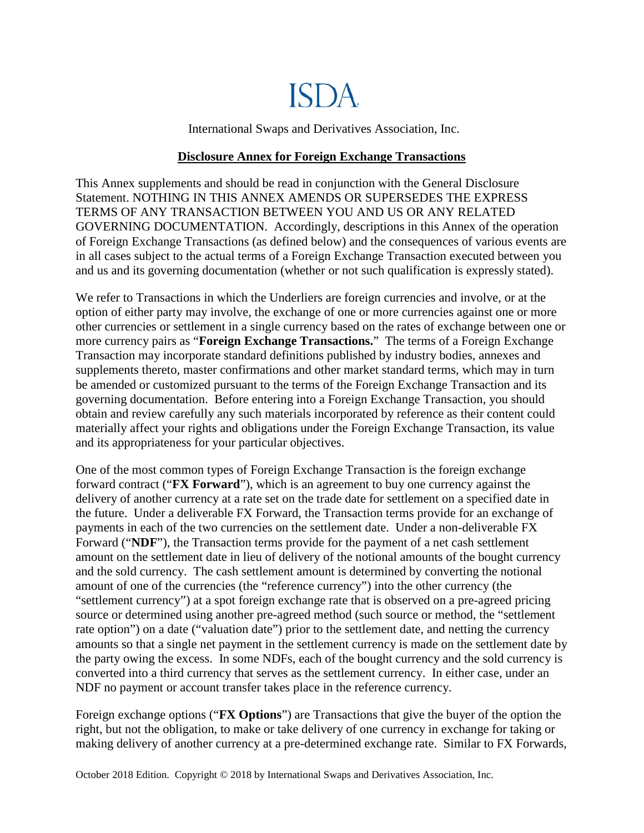# ISDA.

International Swaps and Derivatives Association, Inc.

## **Disclosure Annex for Foreign Exchange Transactions**

This Annex supplements and should be read in conjunction with the General Disclosure Statement. NOTHING IN THIS ANNEX AMENDS OR SUPERSEDES THE EXPRESS TERMS OF ANY TRANSACTION BETWEEN YOU AND US OR ANY RELATED GOVERNING DOCUMENTATION. Accordingly, descriptions in this Annex of the operation of Foreign Exchange Transactions (as defined below) and the consequences of various events are in all cases subject to the actual terms of a Foreign Exchange Transaction executed between you and us and its governing documentation (whether or not such qualification is expressly stated).

We refer to Transactions in which the Underliers are foreign currencies and involve, or at the option of either party may involve, the exchange of one or more currencies against one or more other currencies or settlement in a single currency based on the rates of exchange between one or more currency pairs as "**Foreign Exchange Transactions.**" The terms of a Foreign Exchange Transaction may incorporate standard definitions published by industry bodies, annexes and supplements thereto, master confirmations and other market standard terms, which may in turn be amended or customized pursuant to the terms of the Foreign Exchange Transaction and its governing documentation. Before entering into a Foreign Exchange Transaction, you should obtain and review carefully any such materials incorporated by reference as their content could materially affect your rights and obligations under the Foreign Exchange Transaction, its value and its appropriateness for your particular objectives.

One of the most common types of Foreign Exchange Transaction is the foreign exchange forward contract ("**FX Forward**"), which is an agreement to buy one currency against the delivery of another currency at a rate set on the trade date for settlement on a specified date in the future. Under a deliverable FX Forward, the Transaction terms provide for an exchange of payments in each of the two currencies on the settlement date. Under a non-deliverable FX Forward ("**NDF**"), the Transaction terms provide for the payment of a net cash settlement amount on the settlement date in lieu of delivery of the notional amounts of the bought currency and the sold currency. The cash settlement amount is determined by converting the notional amount of one of the currencies (the "reference currency") into the other currency (the "settlement currency") at a spot foreign exchange rate that is observed on a pre-agreed pricing source or determined using another pre-agreed method (such source or method, the "settlement rate option") on a date ("valuation date") prior to the settlement date, and netting the currency amounts so that a single net payment in the settlement currency is made on the settlement date by the party owing the excess. In some NDFs, each of the bought currency and the sold currency is converted into a third currency that serves as the settlement currency. In either case, under an NDF no payment or account transfer takes place in the reference currency.

Foreign exchange options ("**FX Options**") are Transactions that give the buyer of the option the right, but not the obligation, to make or take delivery of one currency in exchange for taking or making delivery of another currency at a pre-determined [exchange rate.](http://en.wikipedia.org/wiki/Exchange_rate) Similar to FX Forwards,

October 2018 Edition. Copyright © 2018 by International Swaps and Derivatives Association, Inc.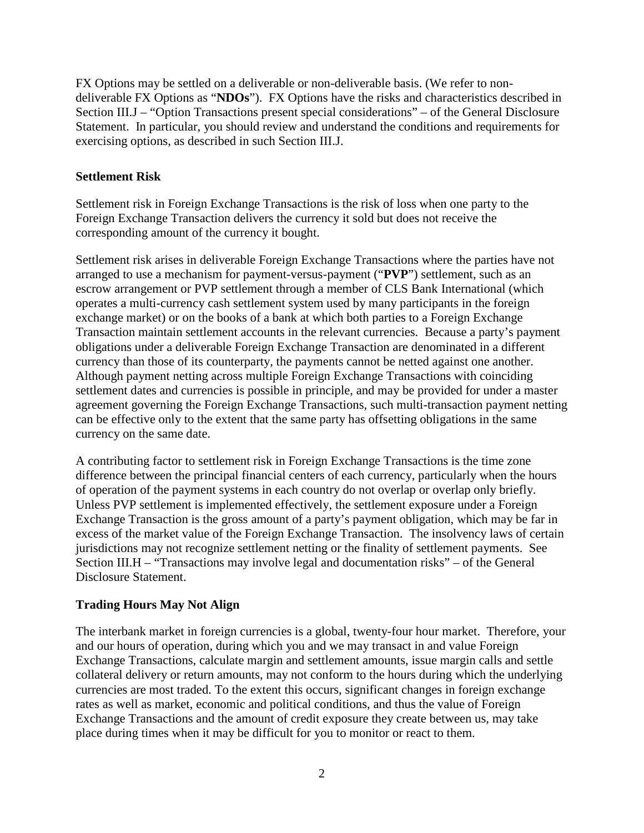FX Options may be settled on a deliverable or non-deliverable basis. (We refer to nondeliverable FX Options as "**NDOs**"). FX Options have the risks and characteristics described in Section III.J – "Option Transactions present special considerations" – of the General Disclosure Statement. In particular, you should review and understand the conditions and requirements for exercising options, as described in such Section III.J.

## **Settlement Risk**

Settlement risk in Foreign Exchange Transactions is the risk of loss when one party to the Foreign Exchange Transaction delivers the currency it sold but does not receive the corresponding amount of the currency it bought.

Settlement risk arises in deliverable Foreign Exchange Transactions where the parties have not arranged to use a mechanism for payment-versus-payment ("**PVP**") settlement, such as an escrow arrangement or PVP settlement through a member of CLS Bank International (which operates a multi-currency cash settlement system used by many participants in the foreign exchange market) or on the books of a bank at which both parties to a Foreign Exchange Transaction maintain settlement accounts in the relevant currencies. Because a party's payment obligations under a deliverable Foreign Exchange Transaction are denominated in a different currency than those of its counterparty, the payments cannot be netted against one another. Although payment netting across multiple Foreign Exchange Transactions with coinciding settlement dates and currencies is possible in principle, and may be provided for under a master agreement governing the Foreign Exchange Transactions, such multi-transaction payment netting can be effective only to the extent that the same party has offsetting obligations in the same currency on the same date.

A contributing factor to settlement risk in Foreign Exchange Transactions is the time zone difference between the principal financial centers of each currency, particularly when the hours of operation of the payment systems in each country do not overlap or overlap only briefly. Unless PVP settlement is implemented effectively, the settlement exposure under a Foreign Exchange Transaction is the gross amount of a party's payment obligation, which may be far in excess of the market value of the Foreign Exchange Transaction. The insolvency laws of certain jurisdictions may not recognize settlement netting or the finality of settlement payments. See Section III.H – "Transactions may involve legal and documentation risks" – of the General Disclosure Statement.

# **Trading Hours May Not Align**

The interbank market in foreign currencies is a global, twenty-four hour market. Therefore, your and our hours of operation, during which you and we may transact in and value Foreign Exchange Transactions, calculate margin and settlement amounts, issue margin calls and settle collateral delivery or return amounts, may not conform to the hours during which the underlying currencies are most traded. To the extent this occurs, significant changes in foreign exchange rates as well as market, economic and political conditions, and thus the value of Foreign Exchange Transactions and the amount of credit exposure they create between us, may take place during times when it may be difficult for you to monitor or react to them.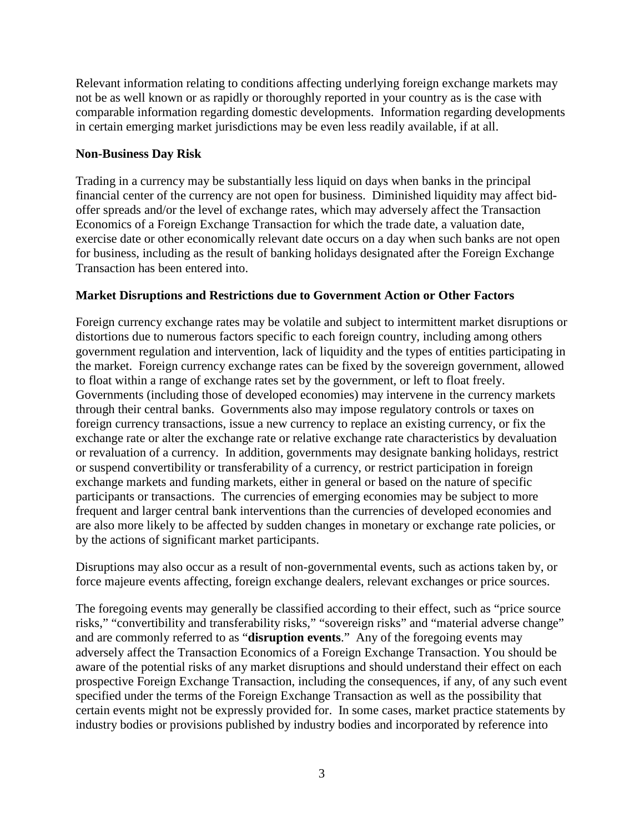Relevant information relating to conditions affecting underlying foreign exchange markets may not be as well known or as rapidly or thoroughly reported in your country as is the case with comparable information regarding domestic developments. Information regarding developments in certain emerging market jurisdictions may be even less readily available, if at all.

## **Non-Business Day Risk**

Trading in a currency may be substantially less liquid on days when banks in the principal financial center of the currency are not open for business. Diminished liquidity may affect bidoffer spreads and/or the level of exchange rates, which may adversely affect the Transaction Economics of a Foreign Exchange Transaction for which the trade date, a valuation date, exercise date or other economically relevant date occurs on a day when such banks are not open for business, including as the result of banking holidays designated after the Foreign Exchange Transaction has been entered into.

# **Market Disruptions and Restrictions due to Government Action or Other Factors**

Foreign currency exchange rates may be volatile and subject to intermittent market disruptions or distortions due to numerous factors specific to each foreign country, including among others government regulation and intervention, lack of liquidity and the types of entities participating in the market. Foreign currency exchange rates can be fixed by the sovereign government, allowed to float within a range of exchange rates set by the government, or left to float freely. Governments (including those of developed economies) may intervene in the currency markets through their central banks. Governments also may impose regulatory controls or taxes on foreign currency transactions, issue a new currency to replace an existing currency, or fix the exchange rate or alter the exchange rate or relative exchange rate characteristics by devaluation or revaluation of a currency. In addition, governments may designate banking holidays, restrict or suspend convertibility or transferability of a currency, or restrict participation in foreign exchange markets and funding markets, either in general or based on the nature of specific participants or transactions. The currencies of emerging economies may be subject to more frequent and larger central bank interventions than the currencies of developed economies and are also more likely to be affected by sudden changes in monetary or exchange rate policies, or by the actions of significant market participants.

Disruptions may also occur as a result of non-governmental events, such as actions taken by, or force majeure events affecting, foreign exchange dealers, relevant exchanges or price sources.

The foregoing events may generally be classified according to their effect, such as "price source risks," "convertibility and transferability risks," "sovereign risks" and "material adverse change" and are commonly referred to as "**disruption events**." Any of the foregoing events may adversely affect the Transaction Economics of a Foreign Exchange Transaction. You should be aware of the potential risks of any market disruptions and should understand their effect on each prospective Foreign Exchange Transaction, including the consequences, if any, of any such event specified under the terms of the Foreign Exchange Transaction as well as the possibility that certain events might not be expressly provided for. In some cases, market practice statements by industry bodies or provisions published by industry bodies and incorporated by reference into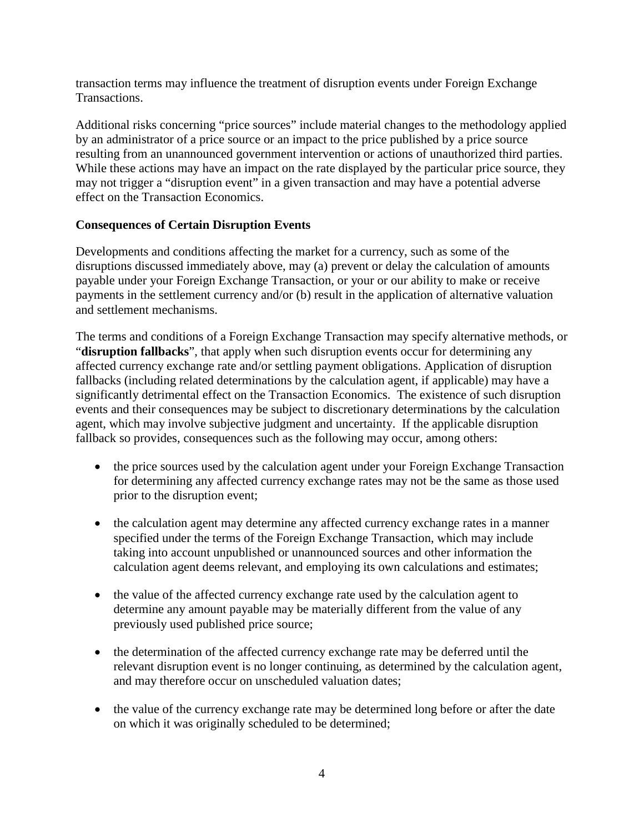transaction terms may influence the treatment of disruption events under Foreign Exchange Transactions.

Additional risks concerning "price sources" include material changes to the methodology applied by an administrator of a price source or an impact to the price published by a price source resulting from an unannounced government intervention or actions of unauthorized third parties. While these actions may have an impact on the rate displayed by the particular price source, they may not trigger a "disruption event" in a given transaction and may have a potential adverse effect on the Transaction Economics.

# **Consequences of Certain Disruption Events**

Developments and conditions affecting the market for a currency, such as some of the disruptions discussed immediately above, may (a) prevent or delay the calculation of amounts payable under your Foreign Exchange Transaction, or your or our ability to make or receive payments in the settlement currency and/or (b) result in the application of alternative valuation and settlement mechanisms.

The terms and conditions of a Foreign Exchange Transaction may specify alternative methods, or "**disruption fallbacks**", that apply when such disruption events occur for determining any affected currency exchange rate and/or settling payment obligations. Application of disruption fallbacks (including related determinations by the calculation agent, if applicable) may have a significantly detrimental effect on the Transaction Economics. The existence of such disruption events and their consequences may be subject to discretionary determinations by the calculation agent, which may involve subjective judgment and uncertainty. If the applicable disruption fallback so provides, consequences such as the following may occur, among others:

- the price sources used by the calculation agent under your Foreign Exchange Transaction for determining any affected currency exchange rates may not be the same as those used prior to the disruption event;
- the calculation agent may determine any affected currency exchange rates in a manner specified under the terms of the Foreign Exchange Transaction, which may include taking into account unpublished or unannounced sources and other information the calculation agent deems relevant, and employing its own calculations and estimates;
- the value of the affected currency exchange rate used by the calculation agent to determine any amount payable may be materially different from the value of any previously used published price source;
- the determination of the affected currency exchange rate may be deferred until the relevant disruption event is no longer continuing, as determined by the calculation agent, and may therefore occur on unscheduled valuation dates;
- the value of the currency exchange rate may be determined long before or after the date on which it was originally scheduled to be determined;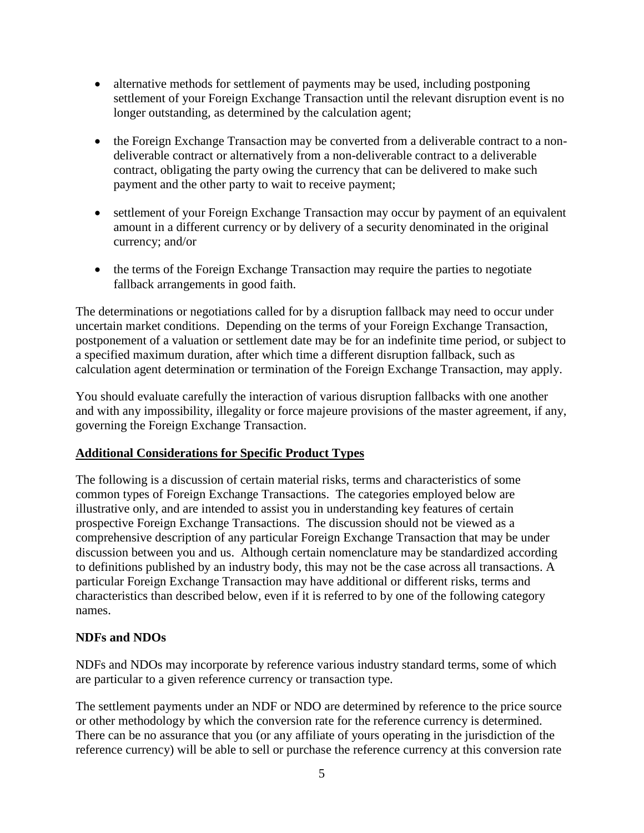- alternative methods for settlement of payments may be used, including postponing settlement of your Foreign Exchange Transaction until the relevant disruption event is no longer outstanding, as determined by the calculation agent;
- the Foreign Exchange Transaction may be converted from a deliverable contract to a nondeliverable contract or alternatively from a non-deliverable contract to a deliverable contract, obligating the party owing the currency that can be delivered to make such payment and the other party to wait to receive payment;
- settlement of your Foreign Exchange Transaction may occur by payment of an equivalent amount in a different currency or by delivery of a security denominated in the original currency; and/or
- the terms of the Foreign Exchange Transaction may require the parties to negotiate fallback arrangements in good faith.

The determinations or negotiations called for by a disruption fallback may need to occur under uncertain market conditions. Depending on the terms of your Foreign Exchange Transaction, postponement of a valuation or settlement date may be for an indefinite time period, or subject to a specified maximum duration, after which time a different disruption fallback, such as calculation agent determination or termination of the Foreign Exchange Transaction, may apply.

You should evaluate carefully the interaction of various disruption fallbacks with one another and with any impossibility, illegality or force majeure provisions of the master agreement, if any, governing the Foreign Exchange Transaction.

# **Additional Considerations for Specific Product Types**

The following is a discussion of certain material risks, terms and characteristics of some common types of Foreign Exchange Transactions. The categories employed below are illustrative only, and are intended to assist you in understanding key features of certain prospective Foreign Exchange Transactions. The discussion should not be viewed as a comprehensive description of any particular Foreign Exchange Transaction that may be under discussion between you and us. Although certain nomenclature may be standardized according to definitions published by an industry body, this may not be the case across all transactions. A particular Foreign Exchange Transaction may have additional or different risks, terms and characteristics than described below, even if it is referred to by one of the following category names.

# **NDFs and NDOs**

NDFs and NDOs may incorporate by reference various industry standard terms, some of which are particular to a given reference currency or transaction type.

The settlement payments under an NDF or NDO are determined by reference to the price source or other methodology by which the conversion rate for the reference currency is determined. There can be no assurance that you (or any affiliate of yours operating in the jurisdiction of the reference currency) will be able to sell or purchase the reference currency at this conversion rate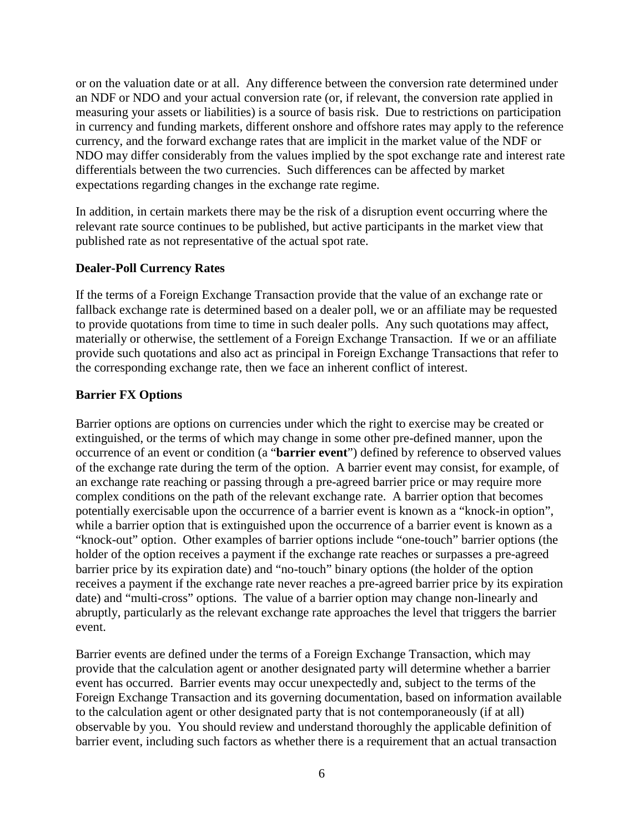or on the valuation date or at all. Any difference between the conversion rate determined under an NDF or NDO and your actual conversion rate (or, if relevant, the conversion rate applied in measuring your assets or liabilities) is a source of basis risk. Due to restrictions on participation in currency and funding markets, different onshore and offshore rates may apply to the reference currency, and the forward exchange rates that are implicit in the market value of the NDF or NDO may differ considerably from the values implied by the spot exchange rate and interest rate differentials between the two currencies. Such differences can be affected by market expectations regarding changes in the exchange rate regime.

In addition, in certain markets there may be the risk of a disruption event occurring where the relevant rate source continues to be published, but active participants in the market view that published rate as not representative of the actual spot rate.

#### **Dealer-Poll Currency Rates**

If the terms of a Foreign Exchange Transaction provide that the value of an exchange rate or fallback exchange rate is determined based on a dealer poll, we or an affiliate may be requested to provide quotations from time to time in such dealer polls. Any such quotations may affect, materially or otherwise, the settlement of a Foreign Exchange Transaction. If we or an affiliate provide such quotations and also act as principal in Foreign Exchange Transactions that refer to the corresponding exchange rate, then we face an inherent conflict of interest.

#### **Barrier FX Options**

Barrier options are options on currencies under which the right to exercise may be created or extinguished, or the terms of which may change in some other pre-defined manner, upon the occurrence of an event or condition (a "**barrier event**") defined by reference to observed values of the exchange rate during the term of the option. A barrier event may consist, for example, of an exchange rate reaching or passing through a pre-agreed barrier price or may require more complex conditions on the path of the relevant exchange rate. A barrier option that becomes potentially exercisable upon the occurrence of a barrier event is known as a "knock-in option", while a barrier option that is extinguished upon the occurrence of a barrier event is known as a "knock-out" option. Other examples of barrier options include "one-touch" barrier options (the holder of the option receives a payment if the exchange rate reaches or surpasses a pre-agreed barrier price by its expiration date) and "no-touch" binary options (the holder of the option receives a payment if the exchange rate never reaches a pre-agreed barrier price by its expiration date) and "multi-cross" options. The value of a barrier option may change non-linearly and abruptly, particularly as the relevant exchange rate approaches the level that triggers the barrier event.

Barrier events are defined under the terms of a Foreign Exchange Transaction, which may provide that the calculation agent or another designated party will determine whether a barrier event has occurred. Barrier events may occur unexpectedly and, subject to the terms of the Foreign Exchange Transaction and its governing documentation, based on information available to the calculation agent or other designated party that is not contemporaneously (if at all) observable by you. You should review and understand thoroughly the applicable definition of barrier event, including such factors as whether there is a requirement that an actual transaction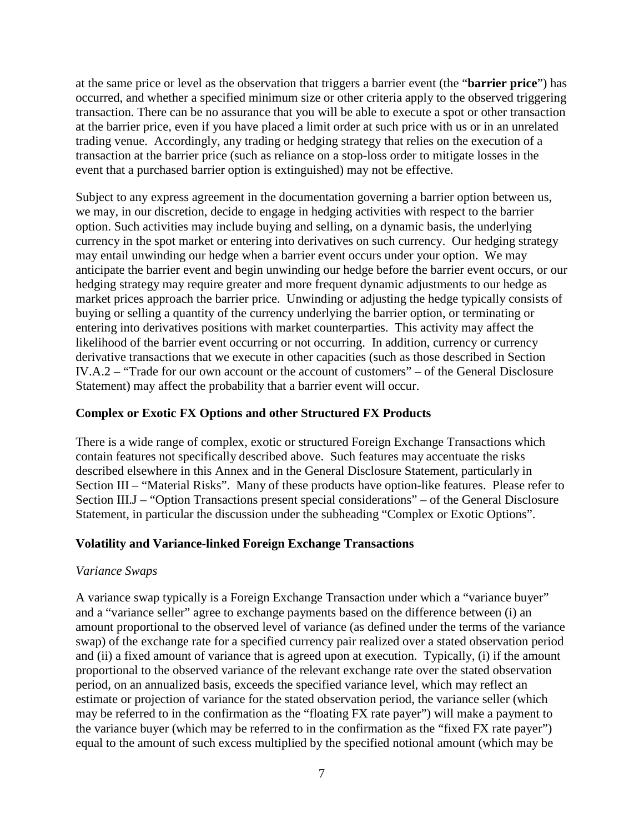at the same price or level as the observation that triggers a barrier event (the "**barrier price**") has occurred, and whether a specified minimum size or other criteria apply to the observed triggering transaction. There can be no assurance that you will be able to execute a spot or other transaction at the barrier price, even if you have placed a limit order at such price with us or in an unrelated trading venue. Accordingly, any trading or hedging strategy that relies on the execution of a transaction at the barrier price (such as reliance on a stop-loss order to mitigate losses in the event that a purchased barrier option is extinguished) may not be effective.

Subject to any express agreement in the documentation governing a barrier option between us, we may, in our discretion, decide to engage in hedging activities with respect to the barrier option. Such activities may include buying and selling, on a dynamic basis, the underlying currency in the spot market or entering into derivatives on such currency. Our hedging strategy may entail unwinding our hedge when a barrier event occurs under your option. We may anticipate the barrier event and begin unwinding our hedge before the barrier event occurs, or our hedging strategy may require greater and more frequent dynamic adjustments to our hedge as market prices approach the barrier price. Unwinding or adjusting the hedge typically consists of buying or selling a quantity of the currency underlying the barrier option, or terminating or entering into derivatives positions with market counterparties. This activity may affect the likelihood of the barrier event occurring or not occurring. In addition, currency or currency derivative transactions that we execute in other capacities (such as those described in Section IV.A.2 – "Trade for our own account or the account of customers" – of the General Disclosure Statement) may affect the probability that a barrier event will occur.

# **Complex or Exotic FX Options and other Structured FX Products**

There is a wide range of complex, exotic or structured Foreign Exchange Transactions which contain features not specifically described above. Such features may accentuate the risks described elsewhere in this Annex and in the General Disclosure Statement, particularly in Section III – "Material Risks". Many of these products have option-like features. Please refer to Section III.J – "Option Transactions present special considerations" – of the General Disclosure Statement, in particular the discussion under the subheading "Complex or Exotic Options".

## **Volatility and Variance-linked Foreign Exchange Transactions**

## *Variance Swaps*

A variance swap typically is a Foreign Exchange Transaction under which a "variance buyer" and a "variance seller" agree to exchange payments based on the difference between (i) an amount proportional to the observed level of variance (as defined under the terms of the variance swap) of the exchange rate for a specified currency pair realized over a stated observation period and (ii) a fixed amount of variance that is agreed upon at execution. Typically, (i) if the amount proportional to the observed variance of the relevant exchange rate over the stated observation period, on an annualized basis, exceeds the specified variance level, which may reflect an estimate or projection of variance for the stated observation period, the variance seller (which may be referred to in the confirmation as the "floating FX rate payer") will make a payment to the variance buyer (which may be referred to in the confirmation as the "fixed FX rate payer") equal to the amount of such excess multiplied by the specified notional amount (which may be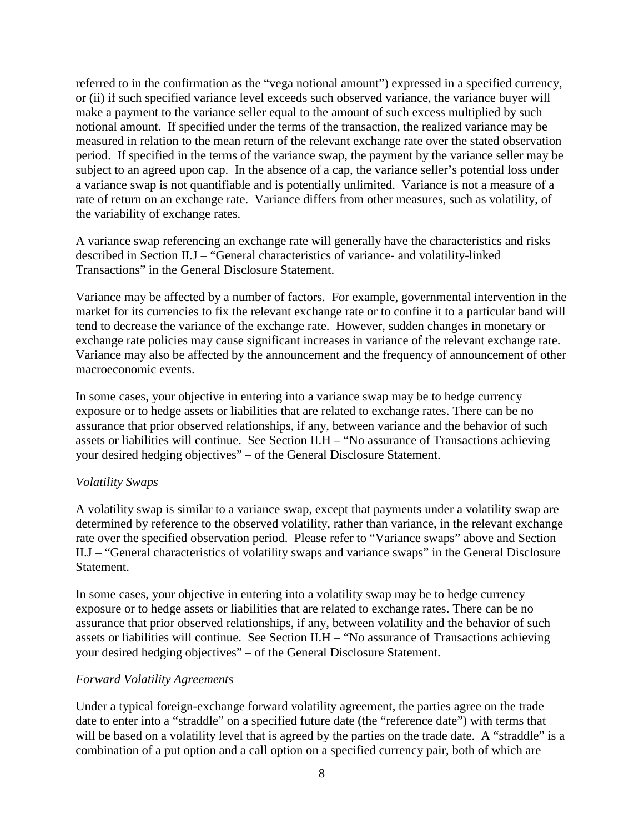referred to in the confirmation as the "vega notional amount") expressed in a specified currency, or (ii) if such specified variance level exceeds such observed variance, the variance buyer will make a payment to the variance seller equal to the amount of such excess multiplied by such notional amount. If specified under the terms of the transaction, the realized variance may be measured in relation to the mean return of the relevant exchange rate over the stated observation period. If specified in the terms of the variance swap, the payment by the variance seller may be subject to an agreed upon cap. In the absence of a cap, the variance seller's potential loss under a variance swap is not quantifiable and is potentially unlimited. Variance is not a measure of a rate of return on an exchange rate. Variance differs from other measures, such as volatility, of the variability of exchange rates.

A variance swap referencing an exchange rate will generally have the characteristics and risks described in Section II.J – "General characteristics of variance- and volatility-linked Transactions" in the General Disclosure Statement.

Variance may be affected by a number of factors. For example, governmental intervention in the market for its currencies to fix the relevant exchange rate or to confine it to a particular band will tend to decrease the variance of the exchange rate. However, sudden changes in monetary or exchange rate policies may cause significant increases in variance of the relevant exchange rate. Variance may also be affected by the announcement and the frequency of announcement of other macroeconomic events.

In some cases, your objective in entering into a variance swap may be to hedge currency exposure or to hedge assets or liabilities that are related to exchange rates. There can be no assurance that prior observed relationships, if any, between variance and the behavior of such assets or liabilities will continue. See Section II.H – "No assurance of Transactions achieving your desired hedging objectives" – of the General Disclosure Statement.

#### *Volatility Swaps*

A volatility swap is similar to a variance swap, except that payments under a volatility swap are determined by reference to the observed volatility, rather than variance, in the relevant exchange rate over the specified observation period. Please refer to "Variance swaps" above and Section II.J – "General characteristics of volatility swaps and variance swaps" in the General Disclosure Statement.

In some cases, your objective in entering into a volatility swap may be to hedge currency exposure or to hedge assets or liabilities that are related to exchange rates. There can be no assurance that prior observed relationships, if any, between volatility and the behavior of such assets or liabilities will continue. See Section II.H – "No assurance of Transactions achieving your desired hedging objectives" – of the General Disclosure Statement.

#### *Forward Volatility Agreements*

Under a typical foreign-exchange forward volatility agreement, the parties agree on the trade date to enter into a "straddle" on a specified future date (the "reference date") with terms that will be based on a volatility level that is agreed by the parties on the trade date. A "straddle" is a combination of a put option and a call option on a specified currency pair, both of which are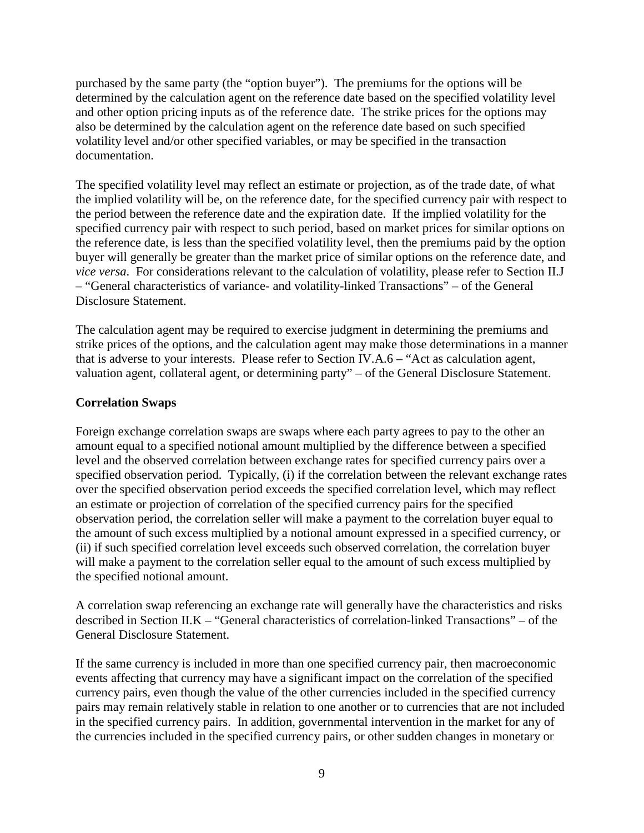purchased by the same party (the "option buyer"). The premiums for the options will be determined by the calculation agent on the reference date based on the specified volatility level and other option pricing inputs as of the reference date. The strike prices for the options may also be determined by the calculation agent on the reference date based on such specified volatility level and/or other specified variables, or may be specified in the transaction documentation.

The specified volatility level may reflect an estimate or projection, as of the trade date, of what the implied volatility will be, on the reference date, for the specified currency pair with respect to the period between the reference date and the expiration date. If the implied volatility for the specified currency pair with respect to such period, based on market prices for similar options on the reference date, is less than the specified volatility level, then the premiums paid by the option buyer will generally be greater than the market price of similar options on the reference date, and *vice versa*. For considerations relevant to the calculation of volatility, please refer to Section II.J – "General characteristics of variance- and volatility-linked Transactions" – of the General Disclosure Statement.

The calculation agent may be required to exercise judgment in determining the premiums and strike prices of the options, and the calculation agent may make those determinations in a manner that is adverse to your interests. Please refer to Section IV.A.6 – "Act as calculation agent, valuation agent, collateral agent, or determining party" – of the General Disclosure Statement.

# **Correlation Swaps**

Foreign exchange correlation swaps are swaps where each party agrees to pay to the other an amount equal to a specified notional amount multiplied by the difference between a specified level and the observed correlation between exchange rates for specified currency pairs over a specified observation period. Typically, (i) if the correlation between the relevant exchange rates over the specified observation period exceeds the specified correlation level, which may reflect an estimate or projection of correlation of the specified currency pairs for the specified observation period, the correlation seller will make a payment to the correlation buyer equal to the amount of such excess multiplied by a notional amount expressed in a specified currency, or (ii) if such specified correlation level exceeds such observed correlation, the correlation buyer will make a payment to the correlation seller equal to the amount of such excess multiplied by the specified notional amount.

A correlation swap referencing an exchange rate will generally have the characteristics and risks described in Section II.K – "General characteristics of correlation-linked Transactions" – of the General Disclosure Statement.

If the same currency is included in more than one specified currency pair, then macroeconomic events affecting that currency may have a significant impact on the correlation of the specified currency pairs, even though the value of the other currencies included in the specified currency pairs may remain relatively stable in relation to one another or to currencies that are not included in the specified currency pairs. In addition, governmental intervention in the market for any of the currencies included in the specified currency pairs, or other sudden changes in monetary or